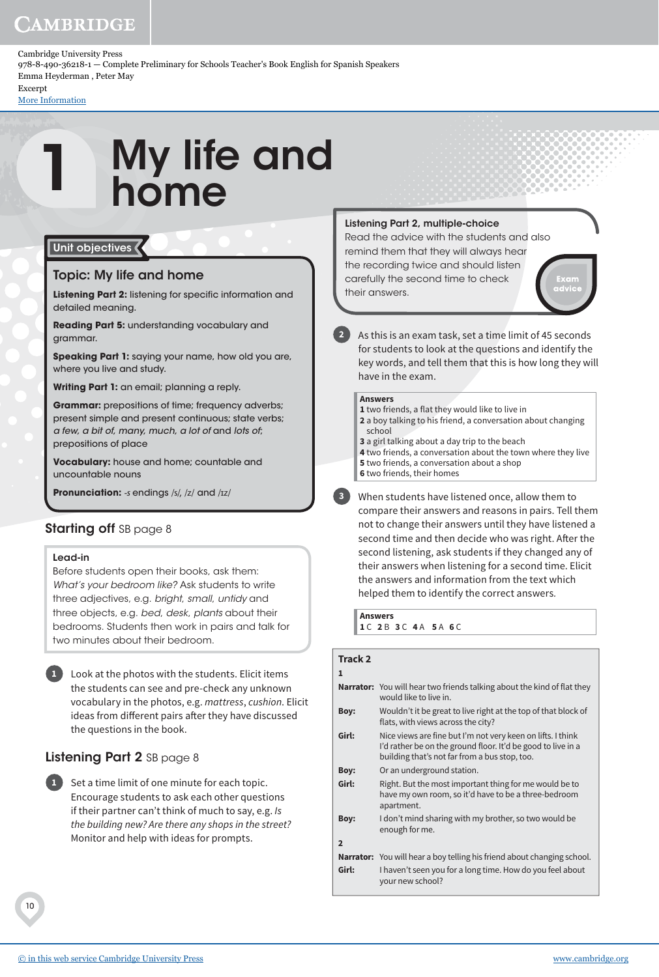# CAMBRIDGE

Cambridge University Press 978-8-490-36218-1 — Complete Preliminary for Schools Teacher's Book English for Spanish Speakers Emma Heyderman , Peter May Excerpt

[More Information](www.cambridge.org/9788490362181)

1

# My life and home

# Unit objectives

# Topic: My life and home

**Listening Part 2:** listening for specific information and detailed meaning.

**Reading Part 5:** understanding vocabulary and grammar.

**Speaking Part 1:** saying your name, how old you are, where you live and study.

**Writing Part 1:** an email; planning a reply.

**Grammar:** prepositions of time; frequency adverbs; present simple and present continuous; state verbs; a few, a bit of, many, much, a lot of and lots of; prepositions of place

**Vocabulary:** house and home; countable and uncountable nouns

**Pronunciation:** -s endings /s/, /z/ and /ɪz/

# Starting off SB page 8

# Lead-in

Before students open their books, ask them: *What's your bedroom like?* Ask students to write three adjectives, e.g. *bright*, *small*, *untidy* and three objects, e.g. *bed*, *desk*, *plants* about their bedrooms. Students then work in pairs and talk for two minutes about their bedroom.

**1** Look at the photos with the students. Elicit items the students can see and pre-check any unknown vocabulary in the photos, e.g. mattress, cushion. Elicit ideas from different pairs after they have discussed the questions in the book.

# Listening Part 2 SB page 8

**1** Set a time limit of one minute for each topic. Encourage students to ask each other questions if their partner can't think of much to say, e.g. Is the building new? Are there any shops in the street? Monitor and help with ideas for prompts.

# Listening Part 2, multiple-choice

Read the advice with the students and also remind them that they will always hear the recording twice and should listen carefully the second time to check their answers.



**2** As this is an exam task, set a time limit of 45 seconds for students to look at the questions and identify the key words, and tell them that this is how long they will have in the exam.

# **Answers**

- **1** two friends, a flat they would like to live in **2** a boy talking to his friend, a conversation about changing
- school
- **3** a girl talking about a day trip to the beach
- **4** two friends, a conversation about the town where they live
- **5** two friends, a conversation about a shop
- **6** two friends, their homes

**3** When students have listened once, allow them to compare their answers and reasons in pairs. Tell them not to change their answers until they have listened a second time and then decide who was right. After the second listening, ask students if they changed any of their answers when listening for a second time. Elicit the answers and information from the text which helped them to identify the correct answers.

**Answers 1** C **2** B **3** C **4** A **5** A **6** C

# **Track 2**

**1**

|                | <b>Narrator:</b> You will hear two friends talking about the kind of flat they<br>would like to live in.                                                                     |
|----------------|------------------------------------------------------------------------------------------------------------------------------------------------------------------------------|
| Boy:           | Wouldn't it be great to live right at the top of that block of<br>flats, with views across the city?                                                                         |
| Girl:          | Nice views are fine but I'm not very keen on lifts. I think<br>I'd rather be on the ground floor. It'd be good to live in a<br>building that's not far from a bus stop, too. |
| Boy:           | Or an underground station.                                                                                                                                                   |
| Girl:          | Right. But the most important thing for me would be to<br>have my own room, so it'd have to be a three-bedroom<br>apartment.                                                 |
| Boy:           | I don't mind sharing with my brother, so two would be<br>enough for me.                                                                                                      |
| $\overline{2}$ |                                                                                                                                                                              |
|                | <b>Narrator:</b> You will hear a boy telling his friend about changing school.                                                                                               |
| Girl:          | I haven't seen you for a long time. How do you feel about<br>your new school?                                                                                                |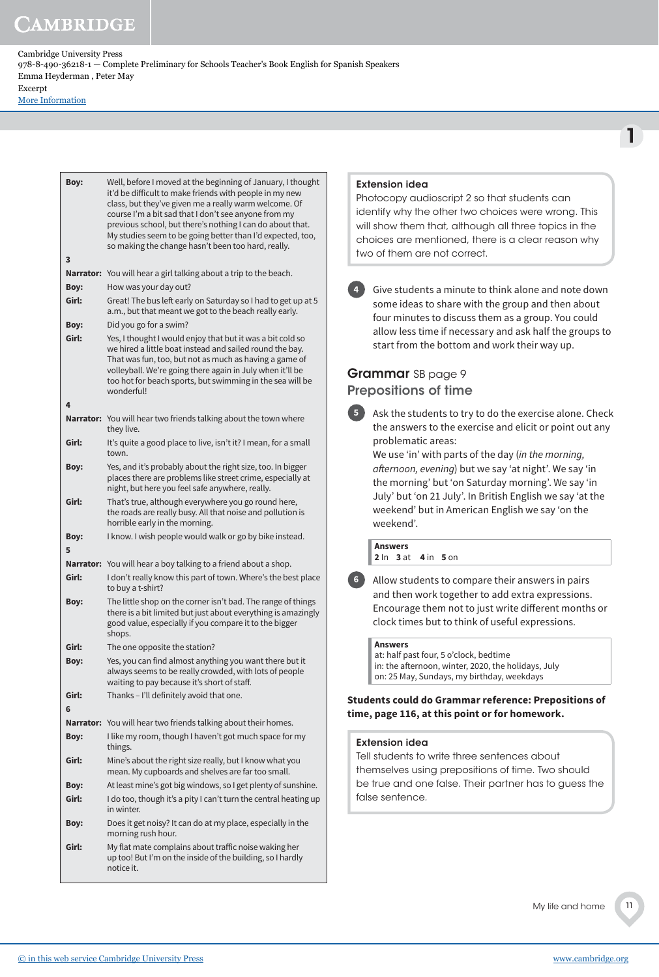[More Information](www.cambridge.org/9788490362181)

| Boy:       | Well, before I moved at the beginning of January, I thought<br>it'd be difficult to make friends with people in my new<br>class, but they've given me a really warm welcome. Of<br>course I'm a bit sad that I don't see anyone from my<br>previous school, but there's nothing I can do about that.<br>My studies seem to be going better than I'd expected, too,<br>so making the change hasn't been too hard, really. |
|------------|--------------------------------------------------------------------------------------------------------------------------------------------------------------------------------------------------------------------------------------------------------------------------------------------------------------------------------------------------------------------------------------------------------------------------|
| 3          |                                                                                                                                                                                                                                                                                                                                                                                                                          |
|            | Narrator: You will hear a girl talking about a trip to the beach.                                                                                                                                                                                                                                                                                                                                                        |
| Boy:       | How was your day out?                                                                                                                                                                                                                                                                                                                                                                                                    |
| Girl:      | Great! The bus left early on Saturday so I had to get up at 5<br>a.m., but that meant we got to the beach really early.                                                                                                                                                                                                                                                                                                  |
| Boy:       | Did you go for a swim?                                                                                                                                                                                                                                                                                                                                                                                                   |
| Girl:      | Yes, I thought I would enjoy that but it was a bit cold so<br>we hired a little boat instead and sailed round the bay.<br>That was fun, too, but not as much as having a game of<br>volleyball. We're going there again in July when it'll be<br>too hot for beach sports, but swimming in the sea will be<br>wonderful!                                                                                                 |
| 4          | Narrator: You will hear two friends talking about the town where                                                                                                                                                                                                                                                                                                                                                         |
| Girl:      | they live.<br>It's quite a good place to live, isn't it? I mean, for a small<br>town.                                                                                                                                                                                                                                                                                                                                    |
| Boy:       | Yes, and it's probably about the right size, too. In bigger<br>places there are problems like street crime, especially at<br>night, but here you feel safe anywhere, really.                                                                                                                                                                                                                                             |
| Girl:      | That's true, although everywhere you go round here,<br>the roads are really busy. All that noise and pollution is<br>horrible early in the morning.                                                                                                                                                                                                                                                                      |
| Boy:<br>5  | I know. I wish people would walk or go by bike instead.                                                                                                                                                                                                                                                                                                                                                                  |
|            | <b>Narrator:</b> You will hear a boy talking to a friend about a shop.                                                                                                                                                                                                                                                                                                                                                   |
| Girl:      | I don't really know this part of town. Where's the best place<br>to buy a t-shirt?                                                                                                                                                                                                                                                                                                                                       |
| Boy:       | The little shop on the corner isn't bad. The range of things<br>there is a bit limited but just about everything is amazingly<br>good value, especially if you compare it to the bigger<br>shops.                                                                                                                                                                                                                        |
| Girl:      | The one opposite the station?                                                                                                                                                                                                                                                                                                                                                                                            |
| Boy:       | Yes, you can find almost anything you want there but it<br>always seems to be really crowded, with lots of people<br>waiting to pay because it's short of staff.                                                                                                                                                                                                                                                         |
| Girl:<br>6 | Thanks - I'll definitely avoid that one.                                                                                                                                                                                                                                                                                                                                                                                 |
|            | <b>Narrator:</b> You will hear two friends talking about their homes.                                                                                                                                                                                                                                                                                                                                                    |
| Boy:       | I like my room, though I haven't got much space for my<br>things.                                                                                                                                                                                                                                                                                                                                                        |
| Girl:      | Mine's about the right size really, but I know what you<br>mean. My cupboards and shelves are far too small.                                                                                                                                                                                                                                                                                                             |
| Boy:       | At least mine's got big windows, so I get plenty of sunshine.                                                                                                                                                                                                                                                                                                                                                            |
| Girl:      | I do too, though it's a pity I can't turn the central heating up<br>in winter.                                                                                                                                                                                                                                                                                                                                           |
| Boy:       | Does it get noisy? It can do at my place, especially in the<br>morning rush hour.                                                                                                                                                                                                                                                                                                                                        |
| Girl:      | My flat mate complains about traffic noise waking her<br>up too! But I'm on the inside of the building, so I hardly<br>notice it.                                                                                                                                                                                                                                                                                        |

# Extension idea

Photocopy audioscript 2 so that students can identify why the other two choices were wrong. This will show them that, although all three topics in the choices are mentioned, there is a clear reason why two of them are not correct.

**4** Give students a minute to think alone and note down some ideas to share with the group and then about four minutes to discuss them as a group. You could allow less time if necessary and ask half the groups to start from the bottom and work their way up.

# Grammar SB page 9 Prepositions of time



**5** Ask the students to try to do the exercise alone. Check the answers to the exercise and elicit or point out any problematic areas:

We use 'in' with parts of the day (in the morning, afternoon, evening) but we say 'at night'. We say 'in the morning' but 'on Saturday morning'. We say 'in July' but 'on 21 July'. In British English we say 'at the weekend' but in American English we say 'on the weekend'.

**Answers 2** In **3** at **4** in **5** on



**6** Allow students to compare their answers in pairs and then work together to add extra expressions. Encourage them not to just write different months or clock times but to think of useful expressions.

#### **Answers**

at: half past four, 5 o'clock, bedtime in: the afternoon, winter, 2020, the holidays, July on: 25 May, Sundays, my birthday, weekdays

**Students could do Grammar reference: Prepositions of time, page 116, at this point or for homework.**

# Extension idea

Tell students to write three sentences about themselves using prepositions of time. Two should be true and one false. Their partner has to guess the false sentence*.*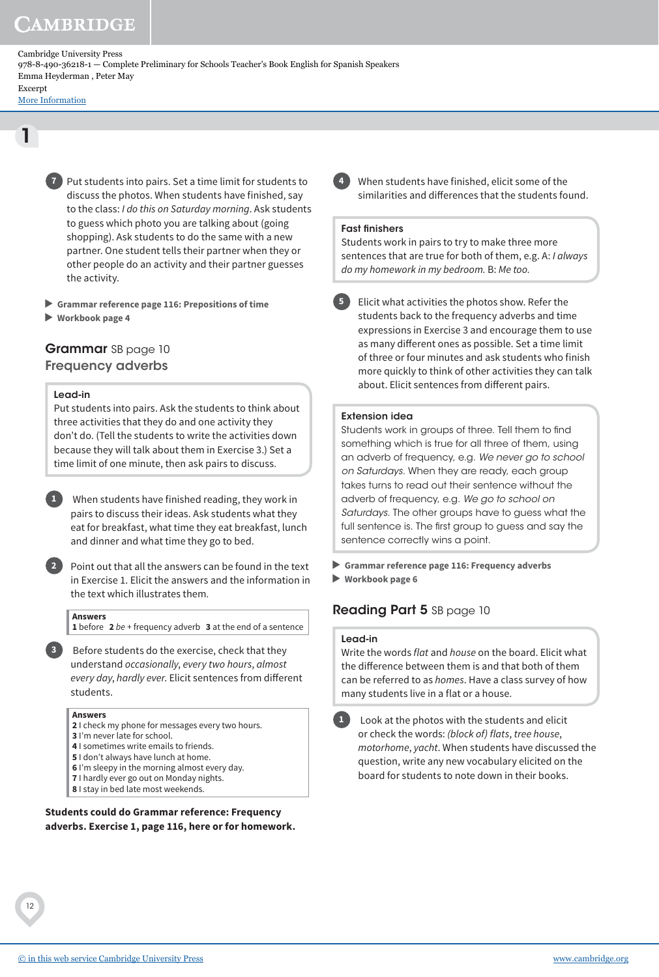# **AMBRIDGE**

Cambridge University Press 978-8-490-36218-1 — Complete Preliminary for Schools Teacher's Book English for Spanish Speakers Emma Heyderman , Peter May Excerpt

[More Information](www.cambridge.org/9788490362181)

1

**7** Put students into pairs. Set a time limit for students to discuss the photos. When students have finished, say to the class: I do this on Saturday morning. Ask students to guess which photo you are talking about (going shopping). Ask students to do the same with a new partner. One student tells their partner when they or other people do an activity and their partner guesses the activity.

- **Grammar reference page 116: Prepositions of time**
- **Workbook page 4**

# Grammar SB page 10 Frequency adverbs

# Lead-in

Put students into pairs. Ask the students to think about three activities that they do and one activity they don't do. (Tell the students to write the activities down because they will talk about them in Exercise 3.) Set a time limit of one minute, then ask pairs to discuss.



**1** When students have finished reading, they work in pairs to discuss their ideas. Ask students what they eat for breakfast, what time they eat breakfast, lunch and dinner and what time they go to bed.

**2** Point out that all the answers can be found in the text in Exercise 1. Elicit the answers and the information in the text which illustrates them.

#### **Answers**

**1** before **2** be + frequency adverb **3** at the end of a sentence

**3** Before students do the exercise, check that they understand occasionally, every two hours, almost every day, hardly ever. Elicit sentences from different students.

#### **Answers**

- **2** I check my phone for messages every two hours.
- **3** I'm never late for school.
- **4** I sometimes write emails to friends.
- **5** I don't always have lunch at home.
- **6** I'm sleepy in the morning almost every day. **7** I hardly ever go out on Monday nights.
- **8** I stay in bed late most weekends.

**Students could do Grammar reference: Frequency adverbs. Exercise 1, page 116, here or for homework.** **4** When students have finished, elicit some of the similarities and differences that the students found.

# Fast finishers

Students work in pairs to try to make three more sentences that are true for both of them, e.g. A: I always do my homework in my bedroom. B: Me too.

**5** Elicit what activities the photos show. Refer the students back to the frequency adverbs and time expressions in Exercise 3 and encourage them to use as many different ones as possible. Set a time limit of three or four minutes and ask students who finish more quickly to think of other activities they can talk about. Elicit sentences from different pairs.

# Extension idea

Students work in groups of three. Tell them to find something which is true for all three of them, using an adverb of frequency, e.g. *We never go to school on Saturdays.* When they are ready, each group takes turns to read out their sentence without the adverb of frequency, e.g. *We go to school on Saturdays.* The other groups have to guess what the full sentence is. The first group to guess and say the sentence correctly wins a point.

 **Grammar reference page 116: Frequency adverbs Workbook page 6**

# Reading Part 5 SB page 10

#### Lead-in

Write the words *flat* and *house* on the board. Elicit what the difference between them is and that both of them can be referred to as homes. Have a class survey of how many students live in a flat or a house.



**1** Look at the photos with the students and elicit or check the words: (block of) flats, tree house, motorhome, yacht. When students have discussed the question, write any new vocabulary elicited on the board for students to note down in their books.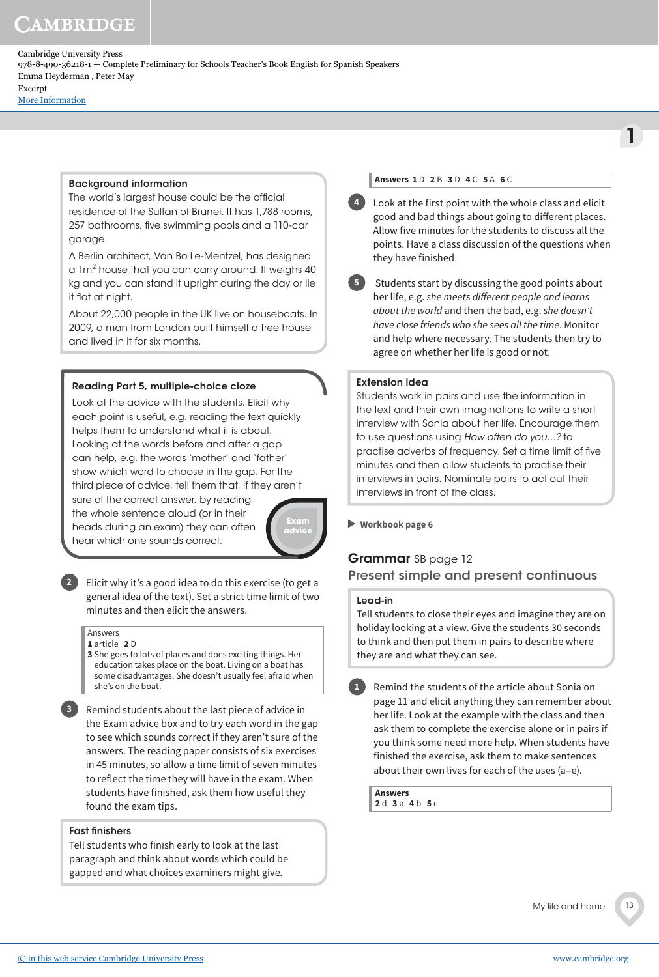# **AMBRIDGE**

Cambridge University Press 978-8-490-36218-1 — Complete Preliminary for Schools Teacher's Book English for Spanish Speakers Emma Heyderman , Peter May Excerpt

[More Information](www.cambridge.org/9788490362181)

# Background information

The world's largest house could be the official residence of the Sultan of Brunei. It has 1,788 rooms, 257 bathrooms, five swimming pools and a 110-car garage.

A Berlin architect, Van Bo Le-Mentzel, has designed a 1m $^2$  house that you can carry around. It weighs 40  $\,$ kg and you can stand it upright during the day or lie it flat at night.

About 22,000 people in the UK live on houseboats. In 2009, a man from London built himself a tree house and lived in it for six months.

# Reading Part 5, multiple-choice cloze

Look at the advice with the students. Elicit why each point is useful, e.g. reading the text quickly helps them to understand what it is about. Looking at the words before and after a gap can help, e.g. the words 'mother' and 'father' show which word to choose in the gap. For the third piece of advice, tell them that, if they aren't

sure of the correct answer, by reading the whole sentence aloud (or in their heads during an exam) they can often hear which one sounds correct.



**2** Elicit why it's a good idea to do this exercise (to get a general idea of the text). Set a strict time limit of two minutes and then elicit the answers.

#### Answers **1** article **2** D

**3** She goes to lots of places and does exciting things. Her education takes place on the boat. Living on a boat has some disadvantages. She doesn't usually feel afraid when she's on the boat.

**3** Remind students about the last piece of advice in the Exam advice box and to try each word in the gap to see which sounds correct if they aren't sure of the answers. The reading paper consists of six exercises in 45 minutes, so allow a time limit of seven minutes to reflect the time they will have in the exam. When students have finished, ask them how useful they found the exam tips.

# Fast finishers

Tell students who finish early to look at the last paragraph and think about words which could be gapped and what choices examiners might give.

# **Answers 1** D **2** B **3** D **4** C **5** A **6** C

**4** Look at the first point with the whole class and elicit good and bad things about going to different places. Allow five minutes for the students to discuss all the points. Have a class discussion of the questions when they have finished.

**5** Students start by discussing the good points about her life, e.g. she meets different people and learns about the world and then the bad, e.g. she doesn't have close friends who she sees all the time. Monitor and help where necessary. The students then try to agree on whether her life is good or not.

# Extension idea

Students work in pairs and use the information in the text and their own imaginations to write a short interview with Sonia about her life. Encourage them to use questions using *How often do you…?* to practise adverbs of frequency. Set a time limit of five minutes and then allow students to practise their interviews in pairs. Nominate pairs to act out their interviews in front of the class.

 **Workbook page 6**

# Grammar SB page 12 Present simple and present continuous

#### Lead-in

Tell students to close their eyes and imagine they are on holiday looking at a view. Give the students 30 seconds to think and then put them in pairs to describe where they are and what they can see.

**1** Remind the students of the article about Sonia on page 11 and elicit anything they can remember about her life. Look at the example with the class and then ask them to complete the exercise alone or in pairs if you think some need more help. When students have finished the exercise, ask them to make sentences about their own lives for each of the uses (a–e).

**Answers 2** d **3** a **4** b **5** c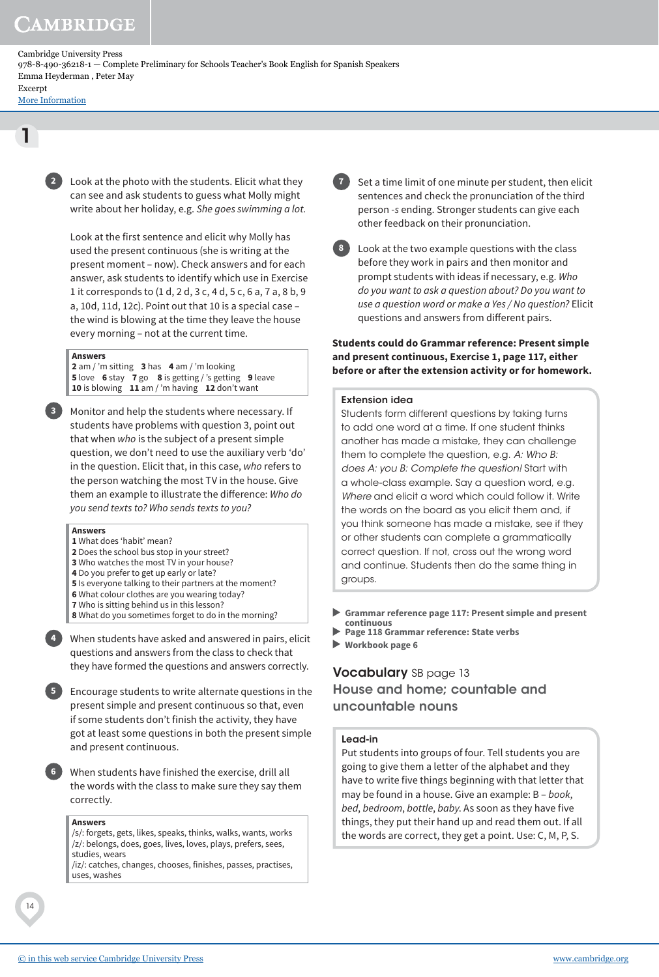[More Information](www.cambridge.org/9788490362181)

1

**2** Look at the photo with the students. Elicit what they can see and ask students to guess what Molly might write about her holiday, e.g. She goes swimming a lot.

Look at the first sentence and elicit why Molly has used the present continuous (she is writing at the present moment – now). Check answers and for each answer, ask students to identify which use in Exercise 1 it corresponds to (1 d, 2 d, 3 c, 4 d, 5 c, 6 a, 7 a, 8 b, 9 a, 10d, 11d, 12c). Point out that 10 is a special case – the wind is blowing at the time they leave the house every morning – not at the current time.

#### **Answers**

**2** am / 'm sitting **3** has **4** am / 'm looking **5** love **6** stay **7** go **8** is getting / 's getting **9** leave **10** is blowing **11** am / 'm having **12** don't want

**3** Monitor and help the students where necessary. If students have problems with question 3, point out that when who is the subject of a present simple question, we don't need to use the auxiliary verb 'do' in the question. Elicit that, in this case, who refers to the person watching the most TV in the house. Give them an example to illustrate the difference: Who do you send texts to? Who sends texts to you?

#### **Answers**

- **1** What does 'habit' mean?
- **2** Does the school bus stop in your street?
- **3** Who watches the most TV in your house?
- **4** Do you prefer to get up early or late?
- **5** Is everyone talking to their partners at the moment?
- **6** What colour clothes are you wearing today?
- **7** Who is sitting behind us in this lesson?
- **8** What do you sometimes forget to do in the morning?



**4** When students have asked and answered in pairs, elicit questions and answers from the class to check that they have formed the questions and answers correctly.

**5** Encourage students to write alternate questions in the present simple and present continuous so that, even if some students don't finish the activity, they have got at least some questions in both the present simple and present continuous.

**6** When students have finished the exercise, drill all the words with the class to make sure they say them correctly.

#### **Answers**

/s/: forgets, gets, likes, speaks, thinks, walks, wants, works /z/: belongs, does, goes, lives, loves, plays, prefers, sees, studies, wears

/iz/: catches, changes, chooses, finishes, passes, practises, uses, washes

**7** Set a time limit of one minute per student, then elicit sentences and check the pronunciation of the third person -s ending. Stronger students can give each other feedback on their pronunciation.

**8** Look at the two example questions with the class before they work in pairs and then monitor and prompt students with ideas if necessary, e.g. Who do you want to ask a question about? Do you want to use a question word or make a Yes / No question? Elicit questions and answers from different pairs.

# **Students could do Grammar reference: Present simple and present continuous, Exercise 1, page 117, either before or after the extension activity or for homework.**

#### Extension idea

Students form different questions by taking turns to add one word at a time. If one student thinks another has made a mistake, they can challenge them to complete the question, e.g. *A: Who B: does A: you B: Complete the question!* Start with a whole-class example. Say a question word, e.g. *Where* and elicit a word which could follow it. Write the words on the board as you elicit them and, if you think someone has made a mistake, see if they or other students can complete a grammatically correct question. If not, cross out the wrong word and continue. Students then do the same thing in groups.

- **Grammar reference page 117: Present simple and present continuous**
- **Page 118 Grammar reference: State verbs**
- **Workbook page 6**

# **Vocabulary** SB page 13 House and home; countable and uncountable nouns

#### Lead-in

Put students into groups of four. Tell students you are going to give them a letter of the alphabet and they have to write five things beginning with that letter that may be found in a house. Give an example: B - book, bed, bedroom, bottle, baby. As soon as they have five things, they put their hand up and read them out. If all the words are correct, they get a point. Use: C, M, P, S.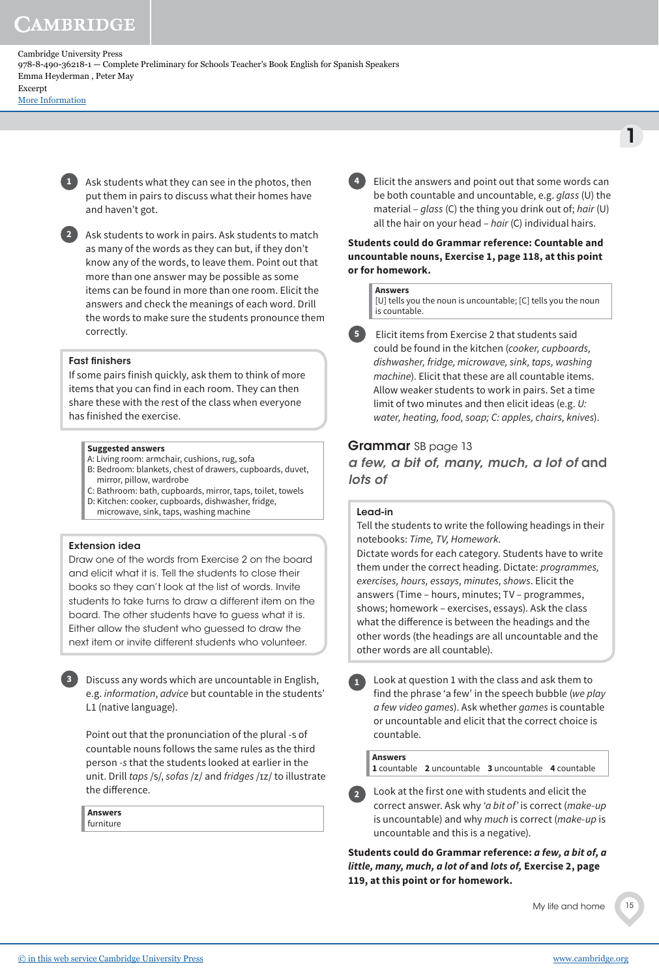[More Information](www.cambridge.org/9788490362181)

**1** Ask students what they can see in the photos, then put them in pairs to discuss what their homes have and haven't got.

**2** Ask students to work in pairs. Ask students to match as many of the words as they can but, if they don't know any of the words, to leave them. Point out that more than one answer may be possible as some items can be found in more than one room. Elicit the answers and check the meanings of each word. Drill the words to make sure the students pronounce them correctly.

# Fast finishers

If some pairs finish quickly, ask them to think of more items that you can find in each room. They can then share these with the rest of the class when everyone has finished the exercise.

#### **Suggested answers**

- A: Living room: armchair, cushions, rug, sofa
- B: Bedroom: blankets, chest of drawers, cupboards, duvet, mirror, pillow, wardrobe
- C: Bathroom: bath, cupboards, mirror, taps, toilet, towels D: Kitchen: cooker, cupboards, dishwasher, fridge,
- microwave, sink, taps, washing machine

# Extension idea

Draw one of the words from Exercise 2 on the board and elicit what it is. Tell the students to close their books so they can't look at the list of words. Invite students to take turns to draw a different item on the board. The other students have to guess what it is. Either allow the student who guessed to draw the next item or invite different students who volunteer.

**3** Discuss any words which are uncountable in English, e.g. information, advice but countable in the students' L1 (native language).

Point out that the pronunciation of the plural -s of countable nouns follows the same rules as the third person -s that the students looked at earlier in the unit. Drill taps /s/, sofas /z/ and fridges /ɪz/ to illustrate the difference.

**Answers** furniture

**4** Elicit the answers and point out that some words can be both countable and uncountable, e.g. glass (U) the material – glass (C) the thing you drink out of; hair (U) all the hair on your head  $-$  hair (C) individual hairs.

1

**Students could do Grammar reference: Countable and uncountable nouns, Exercise 1, page 118, at this point or for homework.**

#### **Answers**

[U] tells you the noun is uncountable; [C] tells you the noun is countable.

**5** Elicit items from Exercise 2 that students said could be found in the kitchen (cooker, cupboards, dishwasher, fridge, microwave, sink, taps, washing machine). Elicit that these are all countable items. Allow weaker students to work in pairs. Set a time limit of two minutes and then elicit ideas (e.g. U: water, heating, food, soap; C: apples, chairs, knives).

# Grammar SB page 13

a few, a bit of, many, much, a lot of and lots of

# Lead-in

Tell the students to write the following headings in their notebooks: Time, TV, Homework.

Dictate words for each category. Students have to write them under the correct heading. Dictate: programmes, exercises, hours, essays, minutes, shows. Elicit the answers (Time – hours, minutes; TV – programmes, shows; homework – exercises, essays). Ask the class what the difference is between the headings and the other words (the headings are all uncountable and the other words are all countable).

**1** Look at question 1 with the class and ask them to find the phrase 'a few' in the speech bubble (we play a few video games). Ask whether games is countable or uncountable and elicit that the correct choice is countable.

# **Answers**

**1** countable **2** uncountable **3** uncountable **4** countable

**2** Look at the first one with students and elicit the correct answer. Ask why 'a bit of' is correct (make-up is uncountable) and why much is correct (make-up is uncountable and this is a negative).

**Students could do Grammar reference: a few, a bit of, a little, many, much, a lot of and lots of, Exercise 2, page 119, at this point or for homework.**

My life and home

[© in this web service Cambridge University Press](www.cambridge.org) www.cambridge.org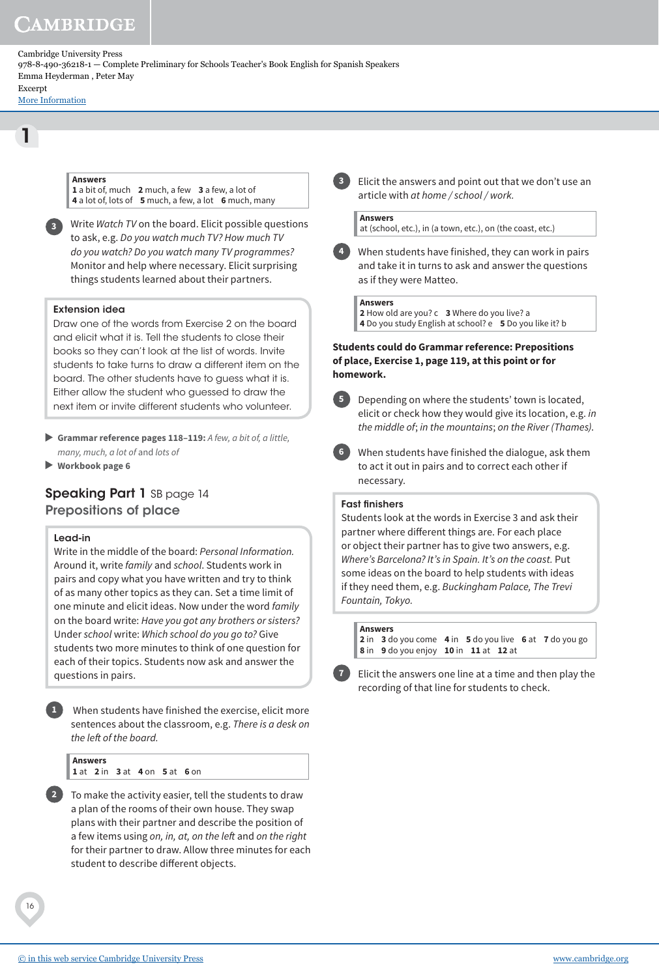[More Information](www.cambridge.org/9788490362181)

1

**Answers** 

**1** a bit of, much **2** much, a few **3** a few, a lot of **4** a lot of, lots of **5** much, a few, a lot **6** much, many

**3** Write Watch TV on the board. Elicit possible questions to ask, e.g. Do you watch much TV? How much TV do you watch? Do you watch many TV programmes? Monitor and help where necessary. Elicit surprising things students learned about their partners.

# Extension idea

Draw one of the words from Exercise 2 on the board and elicit what it is. Tell the students to close their books so they can't look at the list of words. Invite students to take turns to draw a different item on the board. The other students have to guess what it is. Either allow the student who guessed to draw the next item or invite different students who volunteer.

- **Grammar reference pages 118–119:** A few, a bit of, a little, many, much, a lot of and lots of
- **Workbook page 6**

# Speaking Part 1 SB page 14 Prepositions of place

# Lead-in

Write in the middle of the board: Personal Information. Around it, write family and school. Students work in pairs and copy what you have written and try to think of as many other topics as they can. Set a time limit of one minute and elicit ideas. Now under the word family on the board write: Have you got any brothers or sisters? Under school write: Which school do you go to? Give students two more minutes to think of one question for each of their topics. Students now ask and answer the questions in pairs.

**1** When students have finished the exercise, elicit more sentences about the classroom, e.g. There is a desk on the left of the board.

**Answers 1** at **2** in **3** at **4** on **5** at **6** on

**2** To make the activity easier, tell the students to draw a plan of the rooms of their own house. They swap plans with their partner and describe the position of a few items using on, in, at, on the left and on the right for their partner to draw. Allow three minutes for each student to describe different objects.

**3** Elicit the answers and point out that we don't use an article with at home / school / work.

**Answers**

at (school, etc.), in (a town, etc.), on (the coast, etc.)

**4** When students have finished, they can work in pairs and take it in turns to ask and answer the questions as if they were Matteo.

**Answers 2** How old are you? c **3** Where do you live? a **4** Do you study English at school? e **5** Do you like it? b

# **Students could do Grammar reference: Prepositions of place, Exercise 1, page 119, at this point or for homework.**



**5** Depending on where the students' town is located, elicit or check how they would give its location, e.g. in the middle of; in the mountains; on the River (Thames).

**6** When students have finished the dialogue, ask them to act it out in pairs and to correct each other if necessary.

#### Fast finishers

Students look at the words in Exercise 3 and ask their partner where different things are. For each place or object their partner has to give two answers, e.g. Where's Barcelona? It's in Spain. It's on the coast. Put some ideas on the board to help students with ideas if they need them, e.g. Buckingham Palace, The Trevi Fountain, Tokyo.

**Answers**

**2** in **3** do you come **4** in **5** do you live **6** at **7** do you go **8** in **9** do you enjoy **10** in **11** at **12** at

**7** Elicit the answers one line at a time and then play the recording of that line for students to check.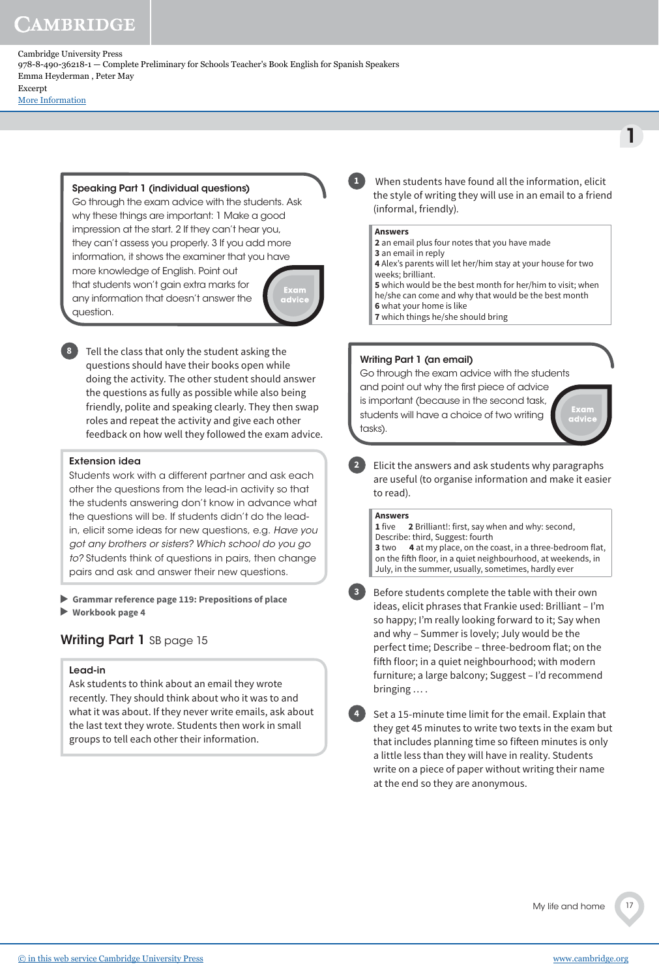# **AMBRIDGE**

Cambridge University Press 978-8-490-36218-1 — Complete Preliminary for Schools Teacher's Book English for Spanish Speakers Emma Heyderman , Peter May Excerpt

[More Information](www.cambridge.org/9788490362181)

# Speaking Part 1 (individual questions)

Go through the exam advice with the students. Ask why these things are important: 1 Make a good impression at the start. 2 If they can't hear you, they can't assess you properly. 3 If you add more information, it shows the examiner that you have more knowledge of English. Point out that students won't gain extra marks for any information that doesn't answer the

**8** Tell the class that only the student asking the questions should have their books open while doing the activity. The other student should answer the questions as fully as possible while also being friendly, polite and speaking clearly. They then swap roles and repeat the activity and give each other feedback on how well they followed the exam advice.

# Extension idea

question.

Students work with a different partner and ask each other the questions from the lead-in activity so that the students answering don't know in advance what the questions will be. If students didn't do the leadin, elicit some ideas for new questions, e.g. *Have you got any brothers or sisters? Which school do you go to?* Students think of questions in pairs, then change pairs and ask and answer their new questions.

 **Grammar reference page 119: Prepositions of place Workbook page 4**

# Writing Part 1 SB page 15

# Lead-in

Ask students to think about an email they wrote recently. They should think about who it was to and what it was about. If they never write emails, ask about the last text they wrote. Students then work in small groups to tell each other their information.

**1** When students have found all the information, elicit the style of writing they will use in an email to a friend (informal, friendly).

# **Answers**

**2** an email plus four notes that you have made

**3** an email in reply

**4** Alex's parents will let her/him stay at your house for two weeks; brilliant. **5** which would be the best month for her/him to visit; when

he/she can come and why that would be the best month **6** what your home is like

**7** which things he/she should bring

# Writing Part 1 (an email)

Go through the exam advice with the students

and point out why the first piece of advice is important (because in the second task, students will have a choice of two writing tasks).



1

**2** Elicit the answers and ask students why paragraphs are useful (to organise information and make it easier to read).

# **Answers**

**1** five **2** Brilliant!: first, say when and why: second, Describe: third, Suggest: fourth **3** two **4** at my place, on the coast, in a three-bedroom flat, on the fifth floor, in a quiet neighbourhood, at weekends, in July, in the summer, usually, sometimes, hardly ever

**3** Before students complete the table with their own ideas, elicit phrases that Frankie used: Brilliant – I'm so happy; I'm really looking forward to it; Say when and why – Summer is lovely; July would be the perfect time; Describe – three-bedroom flat; on the fifth floor; in a quiet neighbourhood; with modern furniture; a large balcony; Suggest – I'd recommend bringing … .

**4** Set a 15-minute time limit for the email. Explain that they get 45 minutes to write two texts in the exam but that includes planning time so fifteen minutes is only a little less than they will have in reality. Students write on a piece of paper without writing their name at the end so they are anonymous.

My life and home